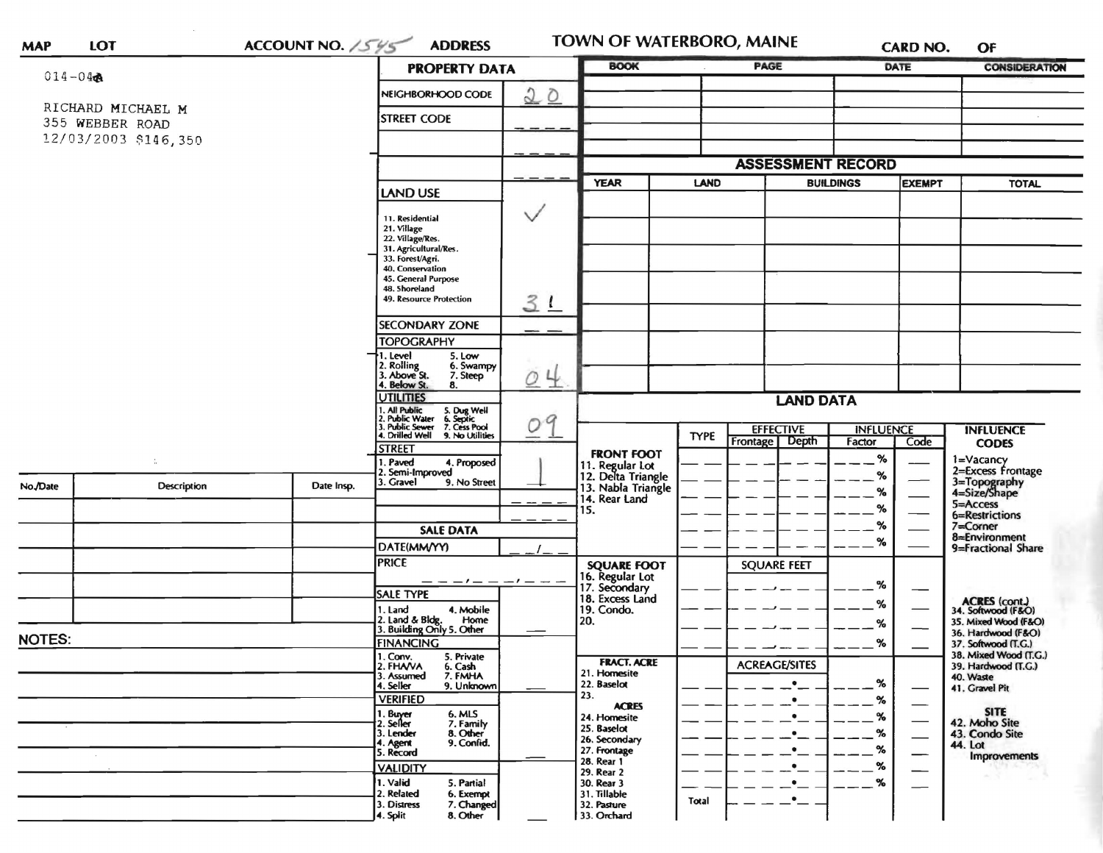## LOT **MAP**

ACCOUNT NO. 1545 ADDRESS

TOWN OF WATERBORO, MAINE

**CARD NO.** OF

| $014 - 04$    |                                      | <b>PROPERTY DATA</b>                          |                                                                                                                                                                                        | <b>BOOK</b>                        |                                                                                     | PAGE                            |                          | DATE                          | <b>CONSIDERATION</b> |                                                                |
|---------------|--------------------------------------|-----------------------------------------------|----------------------------------------------------------------------------------------------------------------------------------------------------------------------------------------|------------------------------------|-------------------------------------------------------------------------------------|---------------------------------|--------------------------|-------------------------------|----------------------|----------------------------------------------------------------|
|               |                                      |                                               | NEIGHBORHOOD CODE                                                                                                                                                                      | 20                                 |                                                                                     |                                 |                          |                               |                      |                                                                |
|               | RICHARD MICHAEL M<br>355 WEBBER ROAD | <b>STREET CODE</b>                            |                                                                                                                                                                                        |                                    |                                                                                     |                                 |                          |                               |                      |                                                                |
|               | 12/03/2003 \$146,350                 |                                               |                                                                                                                                                                                        |                                    |                                                                                     |                                 |                          |                               |                      |                                                                |
|               |                                      |                                               |                                                                                                                                                                                        |                                    |                                                                                     |                                 | <b>ASSESSMENT RECORD</b> |                               |                      |                                                                |
|               |                                      |                                               | <b>YEAR</b><br><b>LAND</b>                                                                                                                                                             |                                    |                                                                                     | <b>BUILDINGS</b>                |                          | <b>EXEMPT</b><br><b>TOTAL</b> |                      |                                                                |
|               |                                      |                                               | <b>LAND USE</b>                                                                                                                                                                        |                                    |                                                                                     |                                 |                          |                               |                      |                                                                |
|               |                                      |                                               | 11. Residential<br>21. Village<br>22. Village/Res.<br>31. Agricultural/Res.<br>33. Forest/Agri.<br>40, Conservation<br>45. General Purpose<br>48. Shoreland<br>49. Resource Protection | $\checkmark$                       |                                                                                     |                                 |                          |                               |                      |                                                                |
|               |                                      |                                               |                                                                                                                                                                                        | 31                                 |                                                                                     |                                 |                          |                               |                      |                                                                |
|               |                                      |                                               | <b>SECONDARY ZONE</b>                                                                                                                                                                  |                                    |                                                                                     |                                 |                          |                               |                      |                                                                |
|               |                                      |                                               | <b>TOPOGRAPHY</b><br>. Level<br>5. Low<br>2. Rolling<br>3. Above St.<br>4. Below St.<br>6. Swampy<br>7. Steep<br>8.                                                                    | 4<br>$\mathcal{O}$                 |                                                                                     |                                 |                          |                               |                      |                                                                |
|               |                                      |                                               | <b>UTILITIES</b>                                                                                                                                                                       | 9<br>0                             |                                                                                     |                                 | <b>LAND DATA</b>         |                               |                      |                                                                |
|               |                                      |                                               | 1. All Public<br>2. Public Water<br>3. Public Sewer<br>4. Drilled Well<br>5. Dug Well<br>6. Septic<br>7. Cess Pool<br>9. No Utilities                                                  |                                    |                                                                                     | <b>EFFECTIVE</b><br><b>TYPE</b> |                          | <b>INFLUENCE</b>              |                      | <b>INFLUENCE</b>                                               |
|               |                                      |                                               | <b>STREET</b>                                                                                                                                                                          |                                    | <b>FRONT FOOT</b>                                                                   |                                 | Depth<br>Frontage        | Factor                        | Code                 | <b>CODES</b>                                                   |
| No./Date      | ¢,<br>Description                    | Date Insp.                                    | 1. Paved<br>4. Proposed<br>2. Semi-Improved<br>3. Gravel<br>9. No Street                                                                                                               |                                    | 11. Regular Lot<br>12. Delta Triangle<br>13. Nabla Triangle<br>14. Rear Land<br>15. |                                 |                          | %<br>%<br>%<br>%<br>%<br>%    |                      | 1=Vacancy<br>2=Excess Frontage<br>3=Topography<br>4=Size/Shape |
|               |                                      |                                               |                                                                                                                                                                                        |                                    |                                                                                     |                                 |                          |                               |                      | 5=Access<br>6=Restrictions                                     |
|               |                                      |                                               | <b>SALE DATA</b>                                                                                                                                                                       |                                    |                                                                                     |                                 |                          |                               |                      | $7 =$ Corner                                                   |
|               |                                      |                                               | DATE(MM/YY)                                                                                                                                                                            |                                    |                                                                                     |                                 |                          |                               |                      | 8=Environment<br>9=Fractional Share                            |
|               |                                      |                                               | <b>PRICE</b>                                                                                                                                                                           |                                    | <b>SQUARE FOOT</b>                                                                  |                                 | <b>SQUARE FEET</b>       |                               |                      |                                                                |
|               |                                      |                                               | — 1 — —<br><b>SALE TYPE</b>                                                                                                                                                            | $-1$ $-$                           | 16. Regular Lot<br>17. Secondary                                                    |                                 |                          | %                             |                      |                                                                |
|               |                                      |                                               | 4. Mobile<br>1. Land                                                                                                                                                                   |                                    | 18. Excess Land<br>19. Condo.                                                       |                                 |                          | %                             |                      | ACRES (cont.)<br>34. Softwood (F&O)                            |
|               |                                      |                                               | 2. Land & Bldg. Home<br>3. Building Only 5. Other<br>Home                                                                                                                              |                                    | 20.                                                                                 |                                 |                          | %                             |                      | 35. Mixed Wood (F&O)<br>36. Hardwood (F&O)                     |
| <b>NOTES:</b> |                                      |                                               | <b>FINANCING</b>                                                                                                                                                                       |                                    |                                                                                     |                                 |                          | $\%$                          |                      | 37. Softwood (T.G.)<br>38. Mixed Wood (T.G.)                   |
|               |                                      | 1. Conv.<br>5. Private<br>2. FHAVA<br>6. Cash |                                                                                                                                                                                        | <b>FRACT. ACRE</b><br>21. Homesite |                                                                                     | <b>ACREAGE/SITES</b>            |                          |                               | 39. Hardwood (T.G.)  |                                                                |
|               |                                      |                                               | 3. Assumed<br>7. FMHA<br>4. Seller<br>9. Unknown                                                                                                                                       |                                    | 22. Baselot<br>23.                                                                  |                                 |                          | %                             |                      | 40. Waste<br>41. Gravel Pit                                    |
|               |                                      |                                               | <b>VERIFIED</b><br>6. MLS                                                                                                                                                              |                                    | <b>ACRES</b>                                                                        |                                 | ٠                        | $\%$                          |                      | <b>SITE</b>                                                    |
|               |                                      |                                               | 1. Buyer<br>2. Seller<br>7. Family<br>8. Other<br>3. Lender                                                                                                                            |                                    | 24. Homesite<br>25. Baselot                                                         |                                 | $\bullet$<br>٠           | %<br>$\%$                     |                      | 42. Moho Site<br>43. Condo Site                                |
|               |                                      |                                               | 9. Confid.<br>4. Agent<br>5. Record                                                                                                                                                    |                                    | 26. Secondary<br>27. Frontage                                                       |                                 | $\bullet$                | $\%$                          |                      | 44. Lot                                                        |
|               |                                      |                                               | <b>VALIDITY</b>                                                                                                                                                                        |                                    | 28. Rear 1<br>29. Rear 2                                                            |                                 | $\bullet$                | %                             |                      | Improvements                                                   |
|               |                                      |                                               | 1. Valid<br>5. Partial<br>2. Related<br>6. Exempt<br>7. Changed<br>3. Distress<br>8. Other<br>4. Split                                                                                 |                                    | 30. Rear 3<br>31. Tillable<br>32. Pasture<br>33. Orchard                            | Total                           | $\bullet$<br>$\bullet$   | $\%$                          |                      |                                                                |